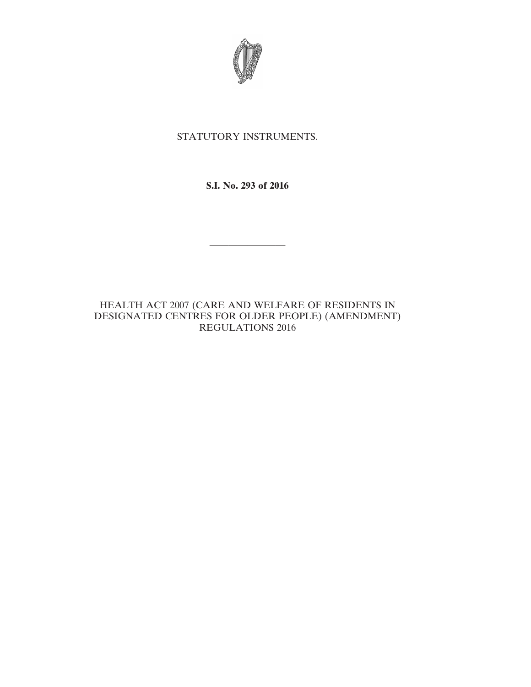

# STATUTORY INSTRUMENTS.

**S.I. No. 293 of 2016**

————————

HEALTH ACT 2007 (CARE AND WELFARE OF RESIDENTS IN DESIGNATED CENTRES FOR OLDER PEOPLE) (AMENDMENT) REGULATIONS 2016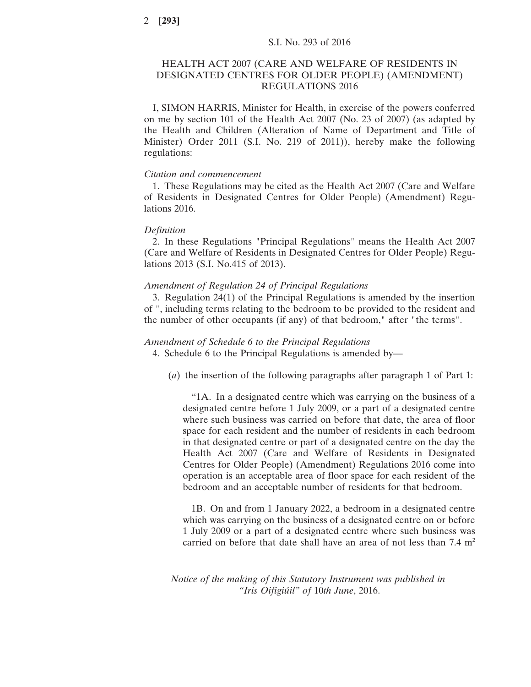## HEALTH ACT 2007 (CARE AND WELFARE OF RESIDENTS IN DESIGNATED CENTRES FOR OLDER PEOPLE) (AMENDMENT) REGULATIONS 2016

I, SIMON HARRIS, Minister for Health, in exercise of the powers conferred on me by section 101 of the Health Act 2007 (No. 23 of 2007) (as adapted by the Health and Children (Alteration of Name of Department and Title of Minister) Order 2011 (S.I. No. 219 of 2011)), hereby make the following regulations:

#### *Citation and commencement*

1. These Regulations may be cited as the Health Act 2007 (Care and Welfare of Residents in Designated Centres for Older People) (Amendment) Regulations 2016.

### *Definition*

2. In these Regulations "Principal Regulations" means the Health Act 2007 (Care and Welfare of Residents in Designated Centres for Older People) Regulations 2013 (S.I. No.415 of 2013).

### *Amendment of Regulation 24 of Principal Regulations*

3. Regulation 24(1) of the Principal Regulations is amended by the insertion of ", including terms relating to the bedroom to be provided to the resident and the number of other occupants (if any) of that bedroom," after "the terms".

#### *Amendment of Schedule 6 to the Principal Regulations*

4. Schedule 6 to the Principal Regulations is amended by—

(*a*) the insertion of the following paragraphs after paragraph 1 of Part 1:

"1A. In a designated centre which was carrying on the business of a designated centre before 1 July 2009, or a part of a designated centre where such business was carried on before that date, the area of floor space for each resident and the number of residents in each bedroom in that designated centre or part of a designated centre on the day the Health Act 2007 (Care and Welfare of Residents in Designated Centres for Older People) (Amendment) Regulations 2016 come into operation is an acceptable area of floor space for each resident of the bedroom and an acceptable number of residents for that bedroom.

1B. On and from 1 January 2022, a bedroom in a designated centre which was carrying on the business of a designated centre on or before 1 July 2009 or a part of a designated centre where such business was carried on before that date shall have an area of not less than  $7.4 \text{ m}^2$ 

*Notice of the making of this Statutory Instrument was published in "Iris Oifigiúil" of* 10*th June*, 2016.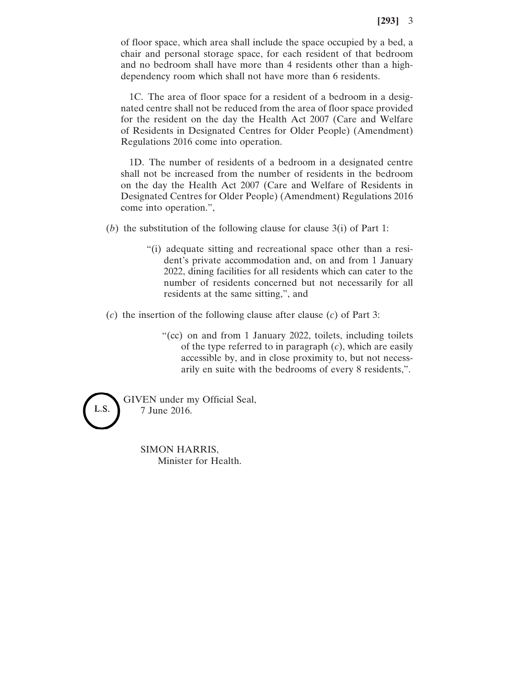of floor space, which area shall include the space occupied by a bed, a chair and personal storage space, for each resident of that bedroom and no bedroom shall have more than 4 residents other than a highdependency room which shall not have more than 6 residents.

1C. The area of floor space for a resident of a bedroom in a designated centre shall not be reduced from the area of floor space provided for the resident on the day the Health Act 2007 (Care and Welfare of Residents in Designated Centres for Older People) (Amendment) Regulations 2016 come into operation.

1D. The number of residents of a bedroom in a designated centre shall not be increased from the number of residents in the bedroom on the day the Health Act 2007 (Care and Welfare of Residents in Designated Centres for Older People) (Amendment) Regulations 2016 come into operation.",

(*b*) the substitution of the following clause for clause 3(i) of Part 1:

- "(i) adequate sitting and recreational space other than a resident's private accommodation and, on and from 1 January 2022, dining facilities for all residents which can cater to the number of residents concerned but not necessarily for all residents at the same sitting,", and
- (*c*) the insertion of the following clause after clause (*c*) of Part 3:
	- "(cc) on and from 1 January 2022, toilets, including toilets of the type referred to in paragraph (*c*), which are easily accessible by, and in close proximity to, but not necessarily en suite with the bedrooms of every 8 residents,".



GIVEN under my Official Seal, 7 June 2016.

> SIMON HARRIS, Minister for Health.